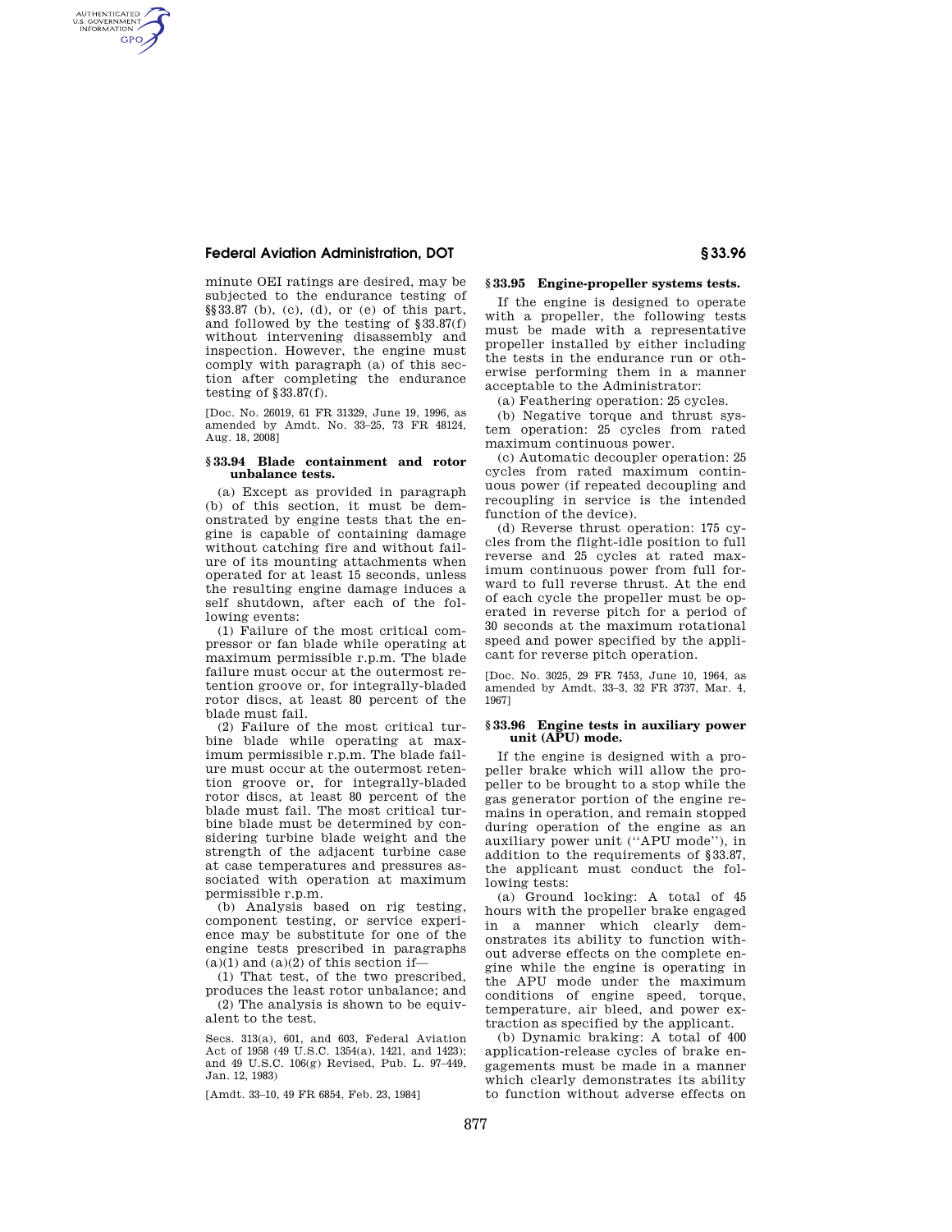## **Federal Aviation Administration, DOT § 33.96**

AUTHENTICATED<br>U.S. GOVERNMENT<br>INFORMATION **GPO** 

> minute OEI ratings are desired, may be subjected to the endurance testing of §§33.87 (b), (c), (d), or (e) of this part, and followed by the testing of §33.87(f) without intervening disassembly and inspection. However, the engine must comply with paragraph (a) of this section after completing the endurance testing of  $§33.87(f)$ .

> [Doc. No. 26019, 61 FR 31329, June 19, 1996, as amended by Amdt. No. 33–25, 73 FR 48124, Aug. 18, 2008]

### **§ 33.94 Blade containment and rotor unbalance tests.**

(a) Except as provided in paragraph (b) of this section, it must be demonstrated by engine tests that the engine is capable of containing damage without catching fire and without failure of its mounting attachments when operated for at least 15 seconds, unless the resulting engine damage induces a self shutdown, after each of the following events:

(1) Failure of the most critical compressor or fan blade while operating at maximum permissible r.p.m. The blade failure must occur at the outermost retention groove or, for integrally-bladed rotor discs, at least 80 percent of the blade must fail.

(2) Failure of the most critical turbine blade while operating at maximum permissible r.p.m. The blade failure must occur at the outermost retention groove or, for integrally-bladed rotor discs, at least 80 percent of the blade must fail. The most critical turbine blade must be determined by considering turbine blade weight and the strength of the adjacent turbine case at case temperatures and pressures associated with operation at maximum permissible r.p.m.

(b) Analysis based on rig testing, component testing, or service experience may be substitute for one of the engine tests prescribed in paragraphs  $(a)(1)$  and  $(a)(2)$  of this section if-

(1) That test, of the two prescribed, produces the least rotor unbalance; and (2) The analysis is shown to be equivalent to the test.

Secs. 313(a), 601, and 603, Federal Aviation Act of 1958 (49 U.S.C. 1354(a), 1421, and 1423); and 49 U.S.C. 106(g) Revised, Pub. L. 97–449, Jan. 12, 1983)

[Amdt. 33-10, 49 FR 6854, Feb. 23, 1984]

## **§ 33.95 Engine-propeller systems tests.**

If the engine is designed to operate with a propeller, the following tests must be made with a representative propeller installed by either including the tests in the endurance run or otherwise performing them in a manner acceptable to the Administrator:

(a) Feathering operation: 25 cycles.

(b) Negative torque and thrust system operation: 25 cycles from rated maximum continuous power.

(c) Automatic decoupler operation: 25 cycles from rated maximum continuous power (if repeated decoupling and recoupling in service is the intended function of the device).

(d) Reverse thrust operation: 175 cycles from the flight-idle position to full reverse and 25 cycles at rated maximum continuous power from full forward to full reverse thrust. At the end of each cycle the propeller must be operated in reverse pitch for a period of 30 seconds at the maximum rotational speed and power specified by the applicant for reverse pitch operation.

[Doc. No. 3025, 29 FR 7453, June 10, 1964, as amended by Amdt. 33–3, 32 FR 3737, Mar. 4, 1967]

### **§ 33.96 Engine tests in auxiliary power unit (APU) mode.**

If the engine is designed with a propeller brake which will allow the propeller to be brought to a stop while the gas generator portion of the engine remains in operation, and remain stopped during operation of the engine as an auxiliary power unit (''APU mode''), in addition to the requirements of §33.87, the applicant must conduct the following tests:

(a) Ground locking: A total of 45 hours with the propeller brake engaged in a manner which clearly demonstrates its ability to function without adverse effects on the complete engine while the engine is operating in the APU mode under the maximum conditions of engine speed, torque, temperature, air bleed, and power extraction as specified by the applicant.

(b) Dynamic braking: A total of 400 application-release cycles of brake engagements must be made in a manner which clearly demonstrates its ability to function without adverse effects on